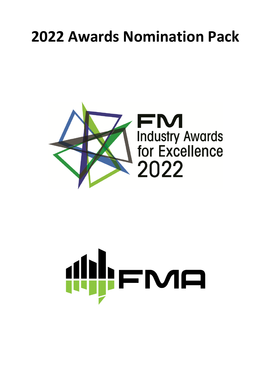# **2022 Awards Nomination Pack**



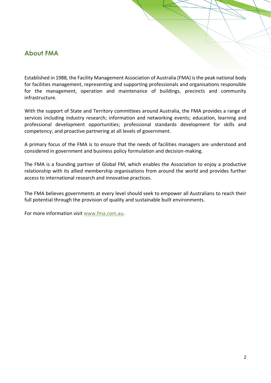### **About FMA**

Established in 1988, the Facility Management Association of Australia (FMA) is the peak national body for facilities management, representing and supporting professionals and organisations responsible for the management, operation and maintenance of buildings, precincts and community infrastructure.

With the support of State and Territory committees around Australia, the FMA provides a range of services including industry research; information and networking events; education, learning and professional development opportunities; professional standards development for skills and competency; and proactive partnering at all levels of government.

A primary focus of the FMA is to ensure that the needs of facilities managers are understood and considered in government and business policy formulation and decision-making.

The FMA is a founding partner of Global FM, which enables the Association to enjoy a productive relationship with its allied membership organisations from around the world and provides further access to international research and innovative practices.

The FMA believes governments at every level should seek to empower all Australians to reach their full potential through the provision of quality and sustainable built environments.

For more information visit [www.fma.com.au.](http://www.fma.com.au/)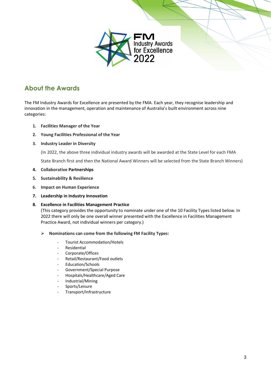

### **About the Awards**

The FM Industry Awards for Excellence are presented by the FMA. Each year, they recognise leadership and innovation in the management, operation and maintenance of Australia's built environment across nine categories:

- **1. Facilities Manager of the Year**
- **2. Young Facilities Professional of the Year**
- **3. Industry Leader in Diversity**

(In 2022, the above three individual industry awards will be awarded at the State Level for each FMA

State Branch first and then the National Award Winners will be selected from the State Branch Winners)

- **4. Collaborative Partnerships**
- **5. Sustainability & Resilience**
- **6. Impact on Human Experience**
- **7. Leadership in Industry Innovation**
- **8. Excellence in Facilities Management Practice**

(This category provides the opportunity to nominate under one of the 10 Facility Types listed below. In 2022 there will only be one overall winner presented with the Excellence in Facilities Management Practice Award, not individual winners per category.)

- ➢ **Nominations can come from the following FM Facility Types:**
	- Tourist Accommodation/Hotels
	- **Residential**
	- Corporate/Offices
	- Retail/Restaurant/Food outlets
	- Education/Schools
	- Government/Special Purpose
	- Hospitals/Healthcare/Aged Care
	- Industrial/Mining
	- Sports/Leisure
	- Transport/Infrastructure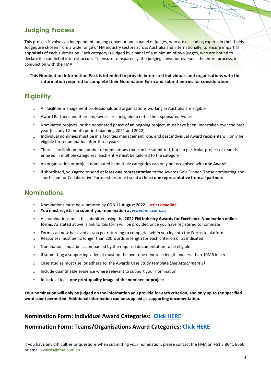### **Judging Process**

This process involves an independent judging convenor and a panel of judges, who are all leading experts in their fields. Judges are chosen from a wide range of FM industry sectors across Australia and internationally, to ensure impartial appraisals of each submission. Each category is judged by a panel of a minimum of two judges, who are bound to declare if a conflict of interest occurs. To ensure transparency, the judging convenor oversees the entire process, in conjunction with the FMA.

**This Nomination Information Pack is intended to provide interested individuals and organisations with the information required to complete their Nomination Form and submit entries for consideration.**

### **Eligibility**

- $\circ$  All facilities management professionals and organisations working in Australia are eligible
- o Award Partners and their employees are ineligible to enter their sponsored Award
- o Nominated projects, or the nominated phase of an ongoing project, must have been undertaken over the past year (i.e. any 12-month period spanning 2021 and 2022)
- o Individual nominees must be in a facilities management role, and past individual Award recipients will only be eligible for renomination after three years
- $\circ$  There is no limit on the number of nominations that can be submitted, but if a particular project or team is entered in multiple categories, each entry **must** be tailored to the category
- o An organisation or project nominated in multiple categories can only be recognised with **one Award**
- o If shortlisted, you agree to send **at least one representative** to the Awards Gala Dinner. Those nominating and shortlisted for Collaborative Partnerships, must send **at least one representative from all partners**

### **Nominations**

- o Nominations must be submitted by **COB 12 August 2022 – strict deadline**
- o **You must register to submit your nomination a[t www.fma.com.au](http://www.fma.com.au/)**
- o All nominations must be submitted using the **2022 FM Industry Awards for Excellence Nomination online forms.** As stated above, a link to this form will be provided once you have registered to nominate
- o Forms can now be saved as you go, returning to complete, when you log into the Formsite platform
- o Responses must be no longer than 200 words in length for each criterion or as indicated
- o Nominations must be accompanied by the required documentation to be eligible
- $\circ$  If submitting a supporting video, it must not be over one minute in length and less than 10MB in size
- o Case studies must use, or adhere to, the Awards Case Study template (*see Attachment 1)*
- o Include quantifiable evidence where relevant to support your nomination
- o Include at least **one print-quality image of the nominee or project**

**Your nomination will only be judged on the information you provide for each criterion, and only up to the specified word count permitted. Additional information can be supplied as supporting documentation.**

### **Nomination Form: Individual Award Categories: [Click HERE](https://fs8.formsite.com/fmaaust/bqlmzysndk/index.html)**

#### **Nomination Form: Teams/Organisations Award Categories: [Click HERE](https://fs8.formsite.com/fmaaust/mlyw5szofj/index.html)**

If you have any difficulties or questions when submitting your nomination, please contact the FMA on +61 3 8641 6666 or email awards@fma.com.au.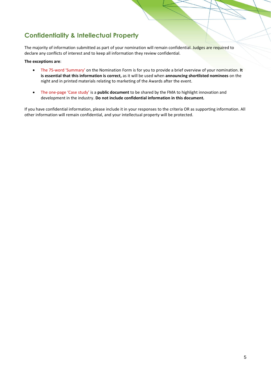### **Confidentiality & Intellectual Property**

The majority of information submitted as part of your nomination will remain confidential. Judges are required to declare any conflicts of interest and to keep all information they review confidential.

#### **The exceptions are**:

- The 75-word 'Summary' on the Nomination Form is for you to provide a brief overview of your nomination. **It is essential that this information is correct,** as it will be used when **announcing shortlisted nominees** on the night and in printed materials relating to marketing of the Awards after the event.
- The one-page 'Case study' is a **public document** to be shared by the FMA to highlight innovation and development in the industry. **Do not include confidential information in this document.**

If you have confidential information, please include it in your responses to the criteria OR as supporting information. All other information will remain confidential, and your intellectual property will be protected.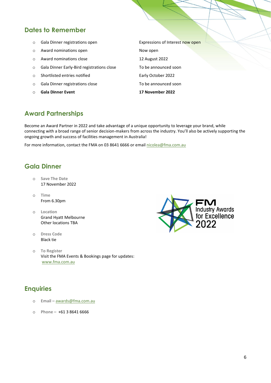### **Dates to Remember**

- o Gala Dinner registrations open **Expressions of Interest** now open
- o Award nominations open Now open Now open
- o Award nominations close 12 August 2022
- o Gala Dinner Early-Bird registrations close To be announced soon
- o Shortlisted entries notified Early October 2022
- o Gala Dinner registrations close To be announced soon
- o **Gala Dinner Event 17 November 2022**

### **Award Partnerships**

Become an Award Partner in 2022 and take advantage of a unique opportunity to leverage your brand, while connecting with a broad range of senior decision-makers from across the industry. You'll also be actively supporting the ongoing growth and success of facilities management in Australia!

For more information, contact the FMA on 03 8641 6666 or email nicolea@fma.com.au

### **Gala Dinner**

- o **Save The Date** 17 November 2022
- o **Time** From 6.30pm
- o **Location** Grand Hyatt Melbourne Other locations TBA
- o **Dress Code**  Black tie
- o **To Register** Visit the FMA Events & Bookings page for updates: [www.fma.com.au](http://www.fma.com.au/)

### **Enquiries**

- o **Email –** [awards@fma.com.au](mailto:events@fma.com.au)
- o **Phone –** +61 3 8641 6666

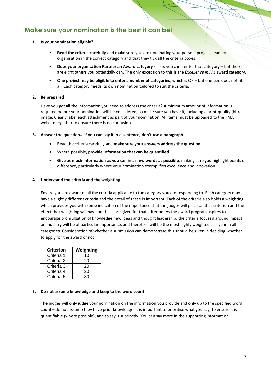### **Make sure your nomination is the best it can be!**

#### **1. Is your nomination eligible?**

- **Read the criteria carefully** and make sure you are nominating your person, project, team or organisation in the correct category and that they tick all the criteria boxes.
- **Does your organisation Partner an Award category**? If so, you can't enter that category but there are eight others you potentially can. The only exception to this is the *Excellence in FM* award category.
- **One project may be eligible to enter a number of categories**, which is OK but one size does not fit all. Each category needs its own nomination tailored to suit the criteria.

#### **2. Be prepared**

Have you got all the information you need to address the criteria? A minimum amount of information is required before your nomination will be considered, so make sure you have it, including a print-quality (hi-res) image. Clearly label each attachment as part of your nomination. All items must be uploaded to the FMA website together to ensure there is no confusion.

#### **3. Answer the question… if you can say it in a sentence, don't use a paragraph**

- Read the criteria carefully and **make sure your answers address the question.**
- Where possible, **provide information that can be quantified**.
- **Give as much information as you can in as few words as possible**, making sure you highlight points of difference, particularly where your nomination exemplifies excellence and innovation.

#### **4. Understand the criteria and the weighting**

Ensure you are aware of all the criteria applicable to the category you are responding to. Each category may have a slightly different criteria and the detail of these is important. Each of the criteria also holds a weighting, which provides you with some indication of the importance that the judges will place on that criterion and the effect that weighting will have on the score given for that criterion. As the award program aspires to encourage promulgation of knowledge new ideas and thought leadership, the criteria focused around impact on industry will be of particular importance, and therefore will be the most highly weighted this year in all categories. Consideration of whether a submission can demonstrate this should be given in deciding whether to apply for the award or not.

| <b>Criterion</b> | Weighting |
|------------------|-----------|
| Criteria 1       | 10        |
| Criteria 2       | 20        |
| Criteria 3       | 20        |
| Criteria 4       | 20        |
| Criteria 5       |           |

#### **5. Do not assume knowledge and keep to the word count**

The judges will only judge your nomination on the information you provide and only up to the specified word count – do not assume they have prior knowledge. It is important to prioritise what you say, to ensure it is quantifiable (where possible), and to say it succinctly. You can say more in the supporting information.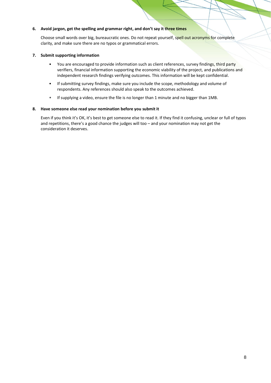#### **6. Avoid jargon, get the spelling and grammar right, and don't say it three times**

Choose small words over big, bureaucratic ones. Do not repeat yourself, spell out acronyms for complete clarity, and make sure there are no typos or grammatical errors.

#### **7. Submit supporting information**

- You are encouraged to provide information such as client references, survey findings, third party verifiers, financial information supporting the economic viability of the project, and publications and independent research findings verifying outcomes. This information will be kept confidential.
- If submitting survey findings, make sure you include the scope, methodology and volume of respondents. Any references should also speak to the outcomes achieved.
- If supplying a video, ensure the file is no longer than 1 minute and no bigger than 1MB.

#### **8. Have someone else read your nomination before you submit it**

Even if you think it's OK, it's best to get someone else to read it. If they find it confusing, unclear or full of typos and repetitions, there's a good chance the judges will too – and your nomination may not get the consideration it deserves.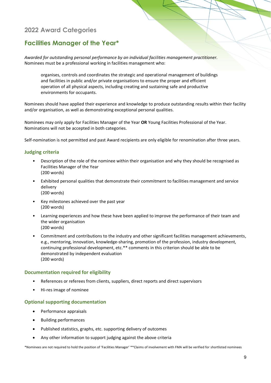### **Facilities Manager of the Year\***

*Awarded for outstanding personal performance by an individual facilities management practitioner.* Nominees must be a professional working in facilities management who:

organises, controls and coordinates the strategic and operational management of buildings and facilities in public and/or private organisations to ensure the proper and efficient operation of all physical aspects, including creating and sustaining safe and productive environments for occupants.

Nominees should have applied their experience and knowledge to produce outstanding results within their facility and/or organisation, as well as demonstrating exceptional personal qualities.

Nominees may only apply for Facilities Manager of the Year **OR** Young Facilities Professional of the Year. Nominations will not be accepted in both categories.

Self-nomination is not permitted and past Award recipients are only eligible for renomination after three years.

#### **Judging criteria**

- Description of the role of the nominee within their organisation and why they should be recognised as Facilities Manager of the Year (200 words)
- Exhibited personal qualities that demonstrate their commitment to facilities management and service delivery (200 words)
- Key milestones achieved over the past year (200 words)
- Learning experiences and how these have been applied to improve the performance of their team and the wider organisation (200 words)
- Commitment and contributions to the industry and other significant facilities management achievements, e.g., mentoring, innovation, knowledge-sharing, promotion of the profession, industry development, continuing professional development, etc.\*\* comments in this criterion should be able to be demonstrated by independent evaluation (200 words)

#### **Documentation required for eligibility**

- References or referees from clients, suppliers, direct reports and direct supervisors
- Hi-res image of nominee

#### **Optional supporting documentation**

- Performance appraisals
- Building performances
- Published statistics, graphs, etc. supporting delivery of outcomes
- Any other information to support judging against the above criteria

\*Nominees are not required to hold the position of 'Facilities Manager' \*\*Claims of involvement with FMA will be verified for shortlisted nominees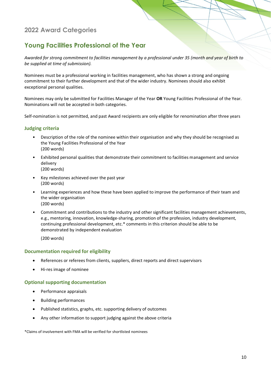### **Young Facilities Professional of the Year**

*Awarded for strong commitment to facilities management by a professional under 35 (month and year of birth to be supplied at time of submission).*

Nominees must be a professional working in facilities management, who has shown a strong and ongoing commitment to their further development and that of the wider industry. Nominees should also exhibit exceptional personal qualities.

Nominees may only be submitted for Facilities Manager of the Year **OR** Young Facilities Professional of the Year. Nominations will not be accepted in both categories.

Self-nomination is not permitted, and past Award recipients are only eligible for renomination after three years

#### **Judging criteria**

- Description of the role of the nominee within their organisation and why they should be recognised as the Young Facilities Professional of the Year (200 words)
- Exhibited personal qualities that demonstrate their commitment to facilities management and service delivery (200 words)
- Key milestones achieved over the past year (200 words)
- Learning experiences and how these have been applied to improve the performance of their team and the wider organisation (200 words)
- Commitment and contributions to the industry and other significant facilities management achievements, e.g., mentoring, innovation, knowledge-sharing, promotion of the profession, industry development, continuing professional development, etc.\* comments in this criterion should be able to be demonstrated by independent evaluation

(200 words)

#### **Documentation required for eligibility**

- References or referees from clients, suppliers, direct reports and direct supervisors
- Hi-res image of nominee

#### **Optional supporting documentation**

- Performance appraisals
- Building performances
- Published statistics, graphs, etc. supporting delivery of outcomes
- Any other information to support judging against the above criteria

\*Claims of involvement with FMA will be verified for shortlisted nominees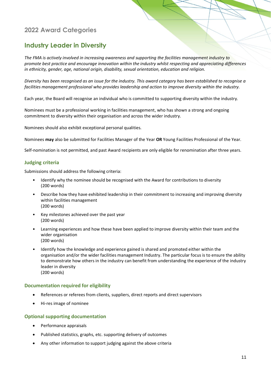### **Industry Leader in Diversity**

*The FMA is actively involved in increasing awareness and supporting the facilities management industry to promote best practice and encourage innovation within the industry whilst respecting and appreciating differences in ethnicity, gender, age, national origin, disability, sexual orientation, education and religion.*

*Diversity has been recognised as an issue for the industry. This award category has been established to recognise a facilities management professional who provides leadership and action to improve diversity within the industry.*

Each year, the Board will recognise an individual who is committed to supporting diversity within the industry.

Nominees must be a professional working in facilities management, who has shown a strong and ongoing commitment to diversity within their organisation and across the wider industry.

Nominees should also exhibit exceptional personal qualities.

Nominees **may** also be submitted for Facilities Manager of the Year **OR** Young Facilities Professional of the Year.

Self-nomination is not permitted, and past Award recipients are only eligible for renomination after three years.

#### **Judging criteria**

Submissions should address the following criteria:

- Identify why the nominee should be recognised with the Award for contributions to diversity (200 words)
- Describe how they have exhibited leadership in their commitment to increasing and improving diversity within facilities management (200 words)
- Key milestones achieved over the past year (200 words)
- Learning experiences and how these have been applied to improve diversity within their team and the wider organisation (200 words)
- Identify how the knowledge and experience gained is shared and promoted either within the organisation and/or the wider facilities management Industry. The particular focus is to ensure the ability to demonstrate how others in the industry can benefit from understanding the experience of the industry leader in diversity (200 words)

#### **Documentation required for eligibility**

- References or referees from clients, suppliers, direct reports and direct supervisors
- Hi-res image of nominee

- Performance appraisals
- Published statistics, graphs, etc. supporting delivery of outcomes
- Any other information to support judging against the above criteria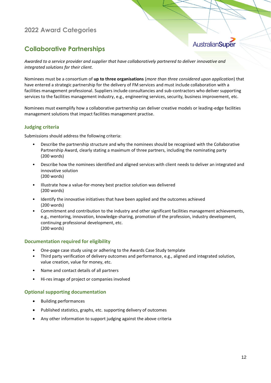### **Collaborative Partnerships**

# AustralianSuper

*Awarded to a service provider and supplier that have collaboratively partnered to deliver innovative and integrated solutions for their client.*

Nominees must be a consortium of **up to three organisations** (*more than three considered upon application*) that have entered a strategic partnership for the delivery of FM services and must include collaboration with a facilities management professional. Suppliers include consultancies and sub-contractors who deliver supporting services to the facilities management industry, e.g., engineering services, security, business improvement, etc.

Nominees must exemplify how a collaborative partnership can deliver creative models or leading-edge facilities management solutions that impact facilities management practise.

#### **Judging criteria**

Submissions should address the following criteria:

- Describe the partnership structure and why the nominees should be recognised with the Collaborative Partnership Award, clearly stating a maximum of three partners, including the nominating party (200 words)
- Describe how the nominees identified and aligned services with client needs to deliver an integrated and innovative solution (200 words)
- Illustrate how a value-for-money best practice solution was delivered (200 words)
- Identify the innovative initiatives that have been applied and the outcomes achieved (200 words)
- Commitment and contribution to the industry and other significant facilities management achievements, e.g., mentoring, innovation, knowledge-sharing, promotion of the profession, industry development, continuing professional development, etc. (200 words)

#### **Documentation required for eligibility**

- One-page case study using or adhering to the Awards Case Study template
- Third party verification of delivery outcomes and performance, e.g., aligned and integrated solution, value creation, value for money, etc.
- Name and contact details of all partners
- Hi-res image of project or companies involved

- Building performances
- Published statistics, graphs, etc. supporting delivery of outcomes
- Any other information to support judging against the above criteria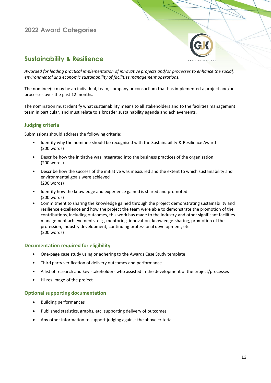

### **Sustainability & Resilience**

*Awarded for leading practical implementation of innovative projects and/or processes to enhance the social, environmental and economic sustainability of facilities management operations.*

The nominee(s) may be an individual, team, company or consortium that has implemented a project and/or processes over the past 12 months.

The nomination must identify what sustainability means to all stakeholders and to the facilities management team in particular, and must relate to a broader sustainability agenda and achievements.

#### **Judging criteria**

Submissions should address the following criteria:

- Identify why the nominee should be recognised with the Sustainability & Resilience Award (200 words)
- Describe how the initiative was integrated into the business practices of the organisation (200 words)
- Describe how the success of the initiative was measured and the extent to which sustainability and environmental goals were achieved (200 words)
- Identify how the knowledge and experience gained is shared and promoted (200 words)
- Commitment to sharing the knowledge gained through the project demonstrating sustainability and resilience excellence and how the project the team were able to demonstrate the promotion of the contributions, including outcomes, this work has made to the industry and other significant facilities management achievements, e.g., mentoring, innovation, knowledge-sharing, promotion of the profession, industry development, continuing professional development, etc. (200 words)

#### **Documentation required for eligibility**

- One-page case study using or adhering to the Awards Case Study template
- Third party verification of delivery outcomes and performance
- A list of research and key stakeholders who assisted in the development of the project/processes
- Hi-res image of the project

- Building performances
- Published statistics, graphs, etc. supporting delivery of outcomes
- Any other information to support judging against the above criteria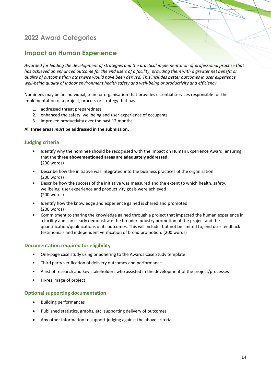### **Impact on Human Experience**

*Awarded for leading the development of strategies and the practical implementation of professional practise that has achieved an enhanced outcome for the end users of a facility, providing them with a greater net benefit or quality of outcome than otherwise would have been derived. This includes better outcomes in user experience well-being quality of indoor environment health safety and well-being or productivity and efficiency*

Nominees may be an individual, team or organisation that provides essential services responsible for the implementation of a project, process or strategy that has:

- 1. addressed threat preparedness
- 2. enhanced the safety, wellbeing and user experience of occupants
- 3. improved productivity over the past 12 months.

#### **All three areas** *must* **be addressed in the submission.**

#### **Judging criteria**

- Identify why the nominee should be recognised with the Impact on Human Experience Award, ensuring that the **three abovementioned areas are adequately addressed** (200 words)
- Describe how the initiative was integrated into the business practices of the organisation (200 words)
- Describe how the success of the initiative was measured and the extent to which health, safety, wellbeing, user experience and productivity goals were achieved (200 words)
- Identify how the knowledge and experience gained is shared and promoted (200 words)
- Commitment to sharing the knowledge gained through a project that impacted the human experience in a facility and can clearly demonstrate the broader industry promotion of the project and the quantification/qualifications of its outcomes. This will include, but not be limited to, end user feedback testimonials and independent verification of broad promotion. (200 words)

#### **Documentation required for eligibility**

- One-page case study using or adhering to the Awards Case Study template
- Third party verification of delivery outcomes and performance
- A list of research and key stakeholders who assisted in the development of the project/processes
- Hi-res image of project

- Building performances
- Published statistics, graphs, etc. supporting delivery of outcomes
- Any other information to support judging against the above criteria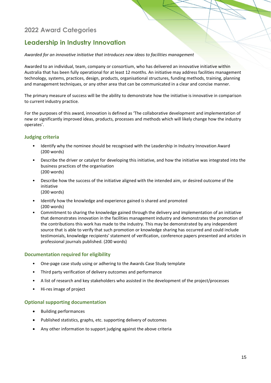### **Leadership in Industry Innovation**

#### *Awarded for an innovative initiative that introduces new ideas to facilities management*

Awarded to an individual, team, company or consortium, who has delivered an innovative initiative within Australia that has been fully operational for at least 12 months. An initiative may address facilities management technology, systems, practices, design, products, organisational structures, funding methods, training, planning and management techniques, or any other area that can be communicated in a clear and concise manner.

The primary measure of success will be the ability to demonstrate how the initiative is innovative in comparison to current industry practice.

For the purposes of this award, innovation is defined as 'The collaborative development and implementation of new or significantly improved ideas, products, processes and methods which will likely change how the industry operates'.

#### **Judging criteria**

- Identify why the nominee should be recognised with the Leadership in Industry Innovation Award (200 words)
- Describe the driver or catalyst for developing this initiative, and how the initiative was integrated into the business practices of the organisation (200 words)
- Describe how the success of the initiative aligned with the intended aim, or desired outcome of the initiative (200 words)
- Identify how the knowledge and experience gained is shared and promoted (200 words)
- Commitment to sharing the knowledge gained through the delivery and implementation of an initiative that demonstrates innovation in the facilities management industry and demonstrates the promotion of the contributions this work has made to the industry. This may be demonstrated by any independent source that is able to verify that such promotion or knowledge sharing has occurred and could include testimonials, knowledge recipients' statement of verification, conference papers presented and articles in professional journals published. (200 words)

#### **Documentation required for eligibility**

- One-page case study using or adhering to the Awards Case Study template
- Third party verification of delivery outcomes and performance
- A list of research and key stakeholders who assisted in the development of the project/processes
- Hi-res image of project

- Building performances
- Published statistics, graphs, etc. supporting delivery of outcomes
- Any other information to support judging against the above criteria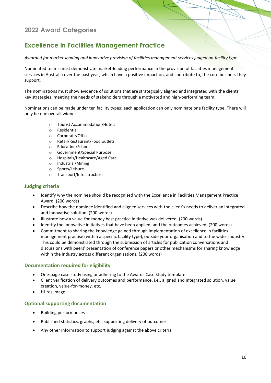### **Excellence in Facilities Management Practice**

*Awarded for market-leading and innovative provision of facilities management services judged on facility type.*

Nominated teams must demonstrate market-leading performance in the provision of facilities management services in Australia over the past year, which have a positive impact on, and contribute to, the core business they support.

The nominations must show evidence of solutions that are strategically aligned and integrated with the clients' key strategies, meeting the needs of stakeholders through a motivated and high-performing team.

Nominations can be made under ten facility types; each application can only nominate one facility type. There will only be one overall winner.

- o Tourist Accommodation/Hotels
- o Residential
- o Corporate/Offices
- o Retail/Restaurant/Food outlets
- o Education/Schools
- o Government/Special Purpose
- o Hospitals/Healthcare/Aged Care
- o Industrial/Mining
- o Sports/Leisure
- o Transport/Infrastructure

#### **Judging criteria**

- Identify why the nominee should be recognised with the Excellence in Facilities Management Practice Award. (200 words)
- Describe how the nominee identified and aligned services with the client's needs to deliver an integrated and innovative solution. (200 words)
- Illustrate how a value-for-money best practice initiative was delivered. (200 words)
- Identify the innovative initiatives that have been applied, and the outcomes achieved. (200 words)
- Commitment to sharing the knowledge gained through implementation of excellence in facilities management practise (within a specific facility type), outside your organisation and to the wider industry. This could be demonstrated through the submission of articles for publication conversations and discussions with peers' presentation of conference papers or other mechanisms for sharing knowledge within the industry across different organisations. (200 words)

#### **Documentation required for eligibility**

- One-page case study using or adhering to the Awards Case Study template
- Client verification of delivery outcomes and performance, i.e., aligned and integrated solution, value creation, value-for-money, etc.
- Hi-res image

- Building performances
- Published statistics, graphs, etc. supporting delivery of outcomes
- Any other information to support judging against the above criteria